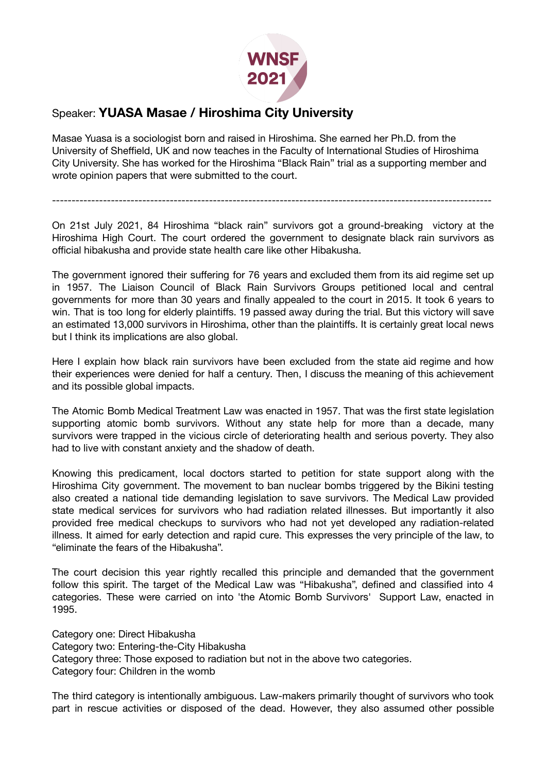

## Speaker: **YUASA Masae / Hiroshima City University**

Masae Yuasa is a sociologist born and raised in Hiroshima. She earned her Ph.D. from the University of Sheffield, UK and now teaches in the Faculty of International Studies of Hiroshima City University. She has worked for the Hiroshima "Black Rain" trial as a supporting member and wrote opinion papers that were submitted to the court.

----------------------------------------------------------------------------------------------------------------

On 21st July 2021, 84 Hiroshima "black rain" survivors got a ground-breaking victory at the Hiroshima High Court. The court ordered the government to designate black rain survivors as official hibakusha and provide state health care like other Hibakusha.

The government ignored their suffering for 76 years and excluded them from its aid regime set up in 1957. The Liaison Council of Black Rain Survivors Groups petitioned local and central governments for more than 30 years and finally appealed to the court in 2015. It took 6 years to win. That is too long for elderly plaintiffs. 19 passed away during the trial. But this victory will save an estimated 13,000 survivors in Hiroshima, other than the plaintiffs. It is certainly great local news but I think its implications are also global.

Here I explain how black rain survivors have been excluded from the state aid regime and how their experiences were denied for half a century. Then, I discuss the meaning of this achievement and its possible global impacts.

The Atomic Bomb Medical Treatment Law was enacted in 1957. That was the first state legislation supporting atomic bomb survivors. Without any state help for more than a decade, many survivors were trapped in the vicious circle of deteriorating health and serious poverty. They also had to live with constant anxiety and the shadow of death.

Knowing this predicament, local doctors started to petition for state support along with the Hiroshima City government. The movement to ban nuclear bombs triggered by the Bikini testing also created a national tide demanding legislation to save survivors. The Medical Law provided state medical services for survivors who had radiation related illnesses. But importantly it also provided free medical checkups to survivors who had not yet developed any radiation-related illness. It aimed for early detection and rapid cure. This expresses the very principle of the law, to "eliminate the fears of the Hibakusha".

The court decision this year rightly recalled this principle and demanded that the government follow this spirit. The target of the Medical Law was "Hibakusha", defined and classified into 4 categories. These were carried on into 'the Atomic Bomb Survivors' Support Law, enacted in 1995.

Category one: Direct Hibakusha Category two: Entering-the-City Hibakusha Category three: Those exposed to radiation but not in the above two categories. Category four: Children in the womb

The third category is intentionally ambiguous. Law-makers primarily thought of survivors who took part in rescue activities or disposed of the dead. However, they also assumed other possible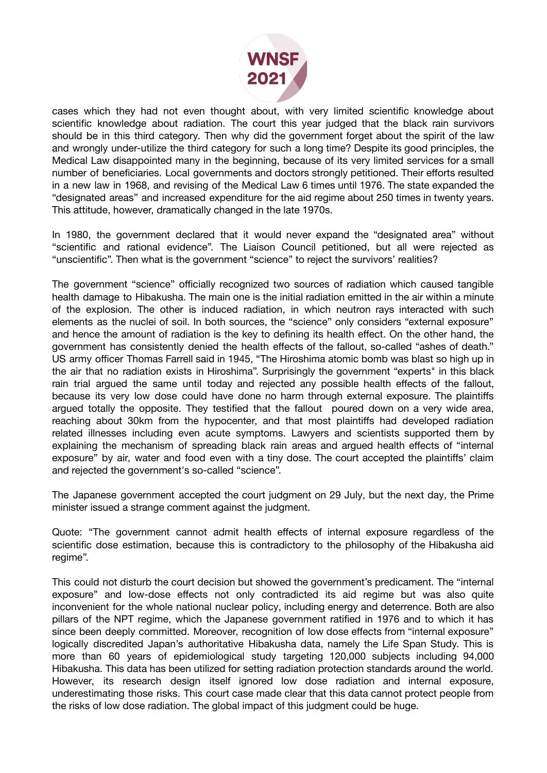

cases which they had not even thought about, with very limited scientific knowledge about scientific knowledge about radiation. The court this year judged that the black rain survivors should be in this third category. Then why did the government forget about the spirit of the law and wrongly under-utilize the third category for such a long time? Despite its good principles, the Medical Law disappointed many in the beginning, because of its very limited services for a small number of beneficiaries. Local governments and doctors strongly petitioned. Their efforts resulted in a new law in 1968, and revising of the Medical Law 6 times until 1976. The state expanded the "designated areas" and increased expenditure for the aid regime about 250 times in twenty years. This attitude, however, dramatically changed in the late 1970s.

In 1980, the government declared that it would never expand the "designated area" without "scientific and rational evidence". The Liaison Council petitioned, but all were rejected as "unscientific". Then what is the government "science" to reject the survivors' realities?

The government "science" officially recognized two sources of radiation which caused tangible health damage to Hibakusha. The main one is the initial radiation emitted in the air within a minute of the explosion. The other is induced radiation, in which neutron rays interacted with such elements as the nuclei of soil. In both sources, the "science" only considers "external exposure" and hence the amount of radiation is the key to defining its health effect. On the other hand, the government has consistently denied the health effects of the fallout, so-called "ashes of death." US army officer Thomas Farrell said in 1945, "The Hiroshima atomic bomb was blast so high up in the air that no radiation exists in Hiroshima". Surprisingly the government "experts" in this black rain trial argued the same until today and rejected any possible health effects of the fallout, because its very low dose could have done no harm through external exposure. The plaintiffs argued totally the opposite. They testified that the fallout poured down on a very wide area, reaching about 30km from the hypocenter, and that most plaintiffs had developed radiation related illnesses including even acute symptoms. Lawyers and scientists supported them by explaining the mechanism of spreading black rain areas and argued health effects of "internal exposure" by air, water and food even with a tiny dose. The court accepted the plaintiffs' claim and rejected the government's so-called "science".

The Japanese government accepted the court judgment on 29 July, but the next day, the Prime minister issued a strange comment against the judgment.

Quote: "The government cannot admit health effects of internal exposure regardless of the scientific dose estimation, because this is contradictory to the philosophy of the Hibakusha aid regime".

This could not disturb the court decision but showed the government's predicament. The "internal exposure" and low-dose effects not only contradicted its aid regime but was also quite inconvenient for the whole national nuclear policy, including energy and deterrence. Both are also pillars of the NPT regime, which the Japanese government ratified in 1976 and to which it has since been deeply committed. Moreover, recognition of low dose effects from "internal exposure" logically discredited Japan's authoritative Hibakusha data, namely the Life Span Study. This is more than 60 years of epidemiological study targeting 120,000 subjects including 94,000 Hibakusha. This data has been utilized for setting radiation protection standards around the world. However, its research design itself ignored low dose radiation and internal exposure, underestimating those risks. This court case made clear that this data cannot protect people from the risks of low dose radiation. The global impact of this judgment could be huge.